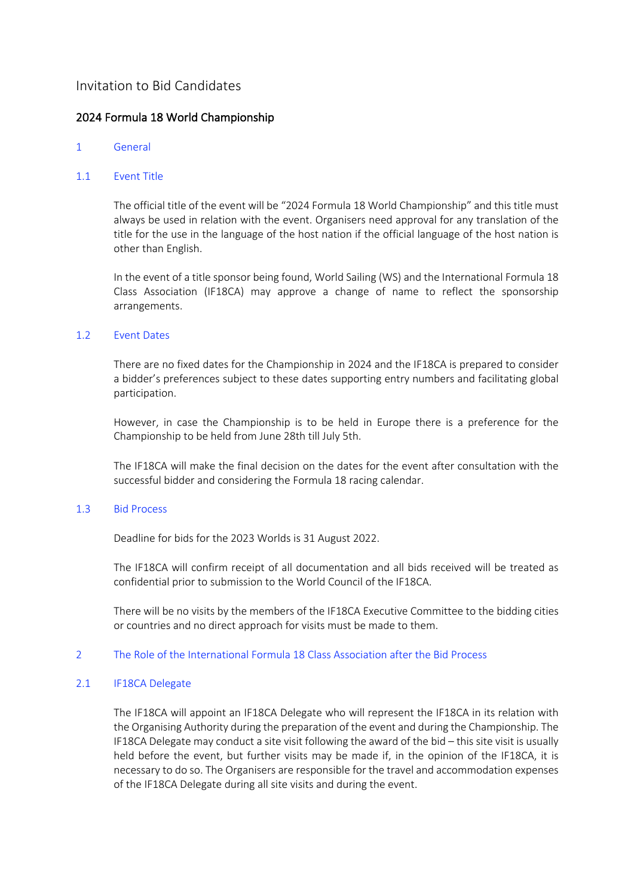# Invitation to Bid Candidates

# 2024 Formula 18 World Championship

## 1 General

## 1.1 Event Title

The official title of the event will be "2024 Formula 18 World Championship" and this title must always be used in relation with the event. Organisers need approval for any translation of the title for the use in the language of the host nation if the official language of the host nation is other than English.

In the event of a title sponsor being found, World Sailing (WS) and the International Formula 18 Class Association (IF18CA) may approve a change of name to reflect the sponsorship arrangements.

## 1.2 Event Dates

There are no fixed dates for the Championship in 2024 and the IF18CA is prepared to consider a bidder's preferences subject to these dates supporting entry numbers and facilitating global participation.

However, in case the Championship is to be held in Europe there is a preference for the Championship to be held from June 28th till July 5th.

The IF18CA will make the final decision on the dates for the event after consultation with the successful bidder and considering the Formula 18 racing calendar.

## 1.3 Bid Process

Deadline for bids for the 2023 Worlds is 31 August 2022.

The IF18CA will confirm receipt of all documentation and all bids received will be treated as confidential prior to submission to the World Council of the IF18CA.

There will be no visits by the members of the IF18CA Executive Committee to the bidding cities or countries and no direct approach for visits must be made to them.

## 2 The Role of the International Formula 18 Class Association after the Bid Process

## 2.1 **IF18CA Delegate**

The IF18CA will appoint an IF18CA Delegate who will represent the IF18CA in its relation with the Organising Authority during the preparation of the event and during the Championship. The IF18CA Delegate may conduct a site visit following the award of the bid – this site visit is usually held before the event, but further visits may be made if, in the opinion of the IF18CA, it is necessary to do so. The Organisers are responsible for the travel and accommodation expenses of the IF18CA Delegate during all site visits and during the event.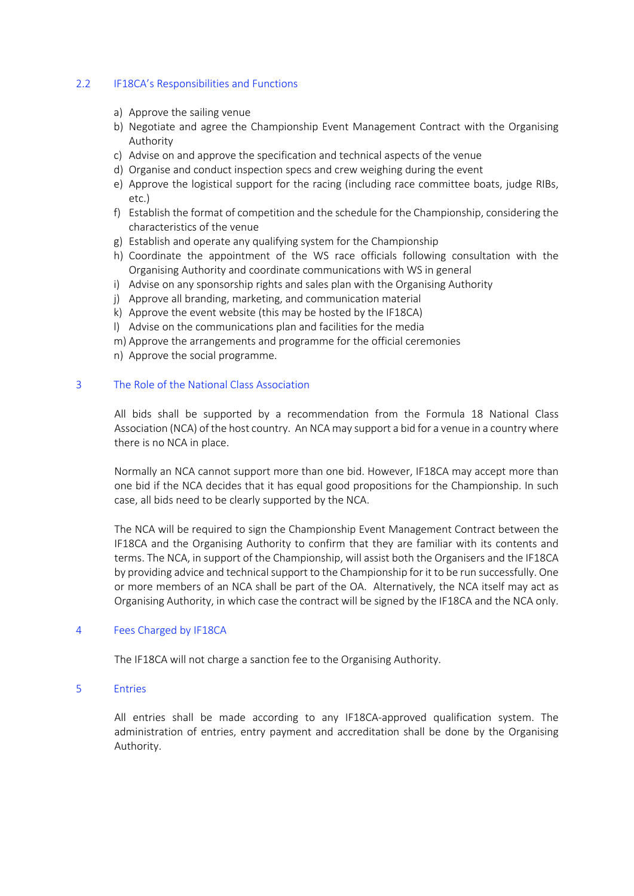## 2.2 IF18CA's Responsibilities and Functions

- a) Approve the sailing venue
- b) Negotiate and agree the Championship Event Management Contract with the Organising Authority
- c) Advise on and approve the specification and technical aspects of the venue
- d) Organise and conduct inspection specs and crew weighing during the event
- e) Approve the logistical support for the racing (including race committee boats, judge RIBs, etc.)
- f) Establish the format of competition and the schedule for the Championship, considering the characteristics of the venue
- g) Establish and operate any qualifying system for the Championship
- h) Coordinate the appointment of the WS race officials following consultation with the Organising Authority and coordinate communications with WS in general
- i) Advise on any sponsorship rights and sales plan with the Organising Authority
- j) Approve all branding, marketing, and communication material
- k) Approve the event website (this may be hosted by the IF18CA)
- l) Advise on the communications plan and facilities for the media
- m) Approve the arrangements and programme for the official ceremonies
- n) Approve the social programme.

### 3 The Role of the National Class Association

All bids shall be supported by a recommendation from the Formula 18 National Class Association (NCA) of the host country. An NCA may support a bid for a venue in a country where there is no NCA in place.

Normally an NCA cannot support more than one bid. However, IF18CA may accept more than one bid if the NCA decides that it has equal good propositions for the Championship. In such case, all bids need to be clearly supported by the NCA.

The NCA will be required to sign the Championship Event Management Contract between the IF18CA and the Organising Authority to confirm that they are familiar with its contents and terms. The NCA, in support of the Championship, will assist both the Organisers and the IF18CA by providing advice and technical support to the Championship for it to be run successfully. One or more members of an NCA shall be part of the OA. Alternatively, the NCA itself may act as Organising Authority, in which case the contract will be signed by the IF18CA and the NCA only.

## 4 Fees Charged by IF18CA

The IF18CA will not charge a sanction fee to the Organising Authority.

#### 5 Entries

All entries shall be made according to any IF18CA-approved qualification system. The administration of entries, entry payment and accreditation shall be done by the Organising Authority.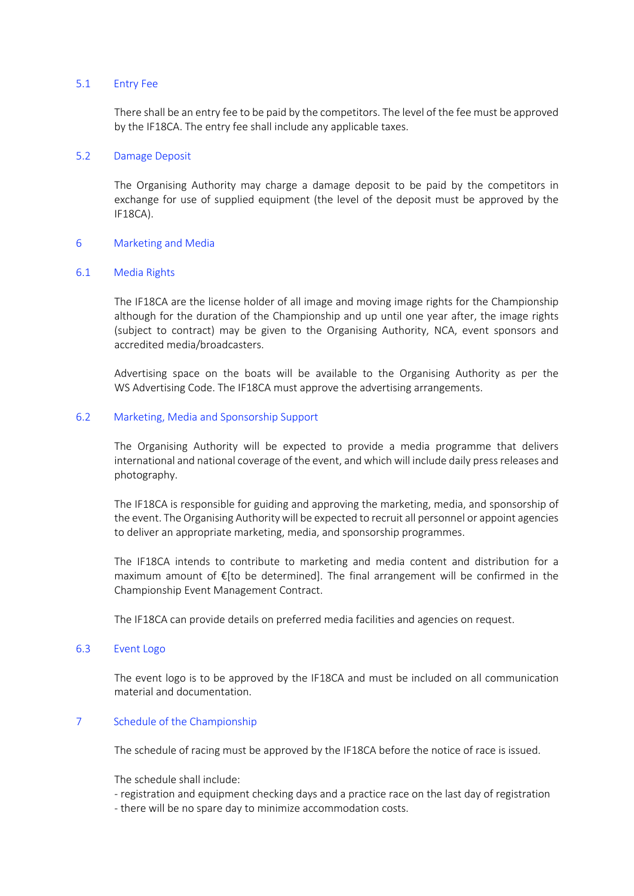#### 5.1 Entry Fee

There shall be an entry fee to be paid by the competitors. The level of the fee must be approved by the IF18CA. The entry fee shall include any applicable taxes.

### 5.2 Damage Deposit

The Organising Authority may charge a damage deposit to be paid by the competitors in exchange for use of supplied equipment (the level of the deposit must be approved by the IF18CA).

### 6 Marketing and Media

### 6.1 Media Rights

The IF18CA are the license holder of all image and moving image rights for the Championship although for the duration of the Championship and up until one year after, the image rights (subject to contract) may be given to the Organising Authority, NCA, event sponsors and accredited media/broadcasters.

Advertising space on the boats will be available to the Organising Authority as per the WS Advertising Code. The IF18CA must approve the advertising arrangements.

### 6.2 Marketing, Media and Sponsorship Support

The Organising Authority will be expected to provide a media programme that delivers international and national coverage of the event, and which will include daily press releases and photography.

The IF18CA is responsible for guiding and approving the marketing, media, and sponsorship of the event. The Organising Authority will be expected to recruit all personnel or appoint agencies to deliver an appropriate marketing, media, and sponsorship programmes.

The IF18CA intends to contribute to marketing and media content and distribution for a maximum amount of €[to be determined]. The final arrangement will be confirmed in the Championship Event Management Contract.

The IF18CA can provide details on preferred media facilities and agencies on request.

#### 6.3 Event Logo

The event logo is to be approved by the IF18CA and must be included on all communication material and documentation.

## 7 Schedule of the Championship

The schedule of racing must be approved by the IF18CA before the notice of race is issued.

The schedule shall include:

- registration and equipment checking days and a practice race on the last day of registration

- there will be no spare day to minimize accommodation costs.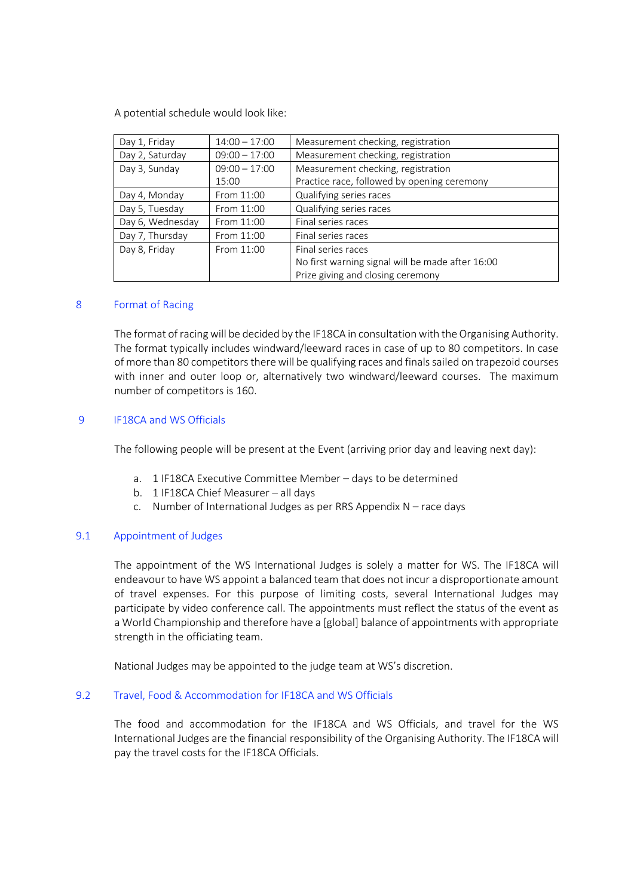A potential schedule would look like:

| Day 1, Friday    | $14:00 - 17:00$ | Measurement checking, registration               |
|------------------|-----------------|--------------------------------------------------|
| Day 2, Saturday  | $09:00 - 17:00$ | Measurement checking, registration               |
| Day 3, Sunday    | $09:00 - 17:00$ | Measurement checking, registration               |
|                  | 15:00           | Practice race, followed by opening ceremony      |
| Day 4, Monday    | From 11:00      | Qualifying series races                          |
| Day 5, Tuesday   | From 11:00      | Qualifying series races                          |
| Day 6, Wednesday | From 11:00      | Final series races                               |
| Day 7, Thursday  | From 11:00      | Final series races                               |
| Day 8, Friday    | From 11:00      | Final series races                               |
|                  |                 | No first warning signal will be made after 16:00 |
|                  |                 | Prize giving and closing ceremony                |

### 8 Format of Racing

The format of racing will be decided by the IF18CA in consultation with the Organising Authority. The format typically includes windward/leeward races in case of up to 80 competitors. In case of more than 80 competitors there will be qualifying races and finals sailed on trapezoid courses with inner and outer loop or, alternatively two windward/leeward courses. The maximum number of competitors is 160.

## 9 IF18CA and WS Officials

The following people will be present at the Event (arriving prior day and leaving next day):

- a. 1 IF18CA Executive Committee Member days to be determined
- b. 1 IF18CA Chief Measurer all days
- c. Number of International Judges as per RRS Appendix N race days

## 9.1 Appointment of Judges

The appointment of the WS International Judges is solely a matter for WS. The IF18CA will endeavour to have WS appoint a balanced team that does not incur a disproportionate amount of travel expenses. For this purpose of limiting costs, several International Judges may participate by video conference call. The appointments must reflect the status of the event as a World Championship and therefore have a [global] balance of appointments with appropriate strength in the officiating team.

National Judges may be appointed to the judge team at WS's discretion.

#### 9.2 Travel, Food & Accommodation for IF18CA and WS Officials

The food and accommodation for the IF18CA and WS Officials, and travel for the WS International Judges are the financial responsibility of the Organising Authority. The IF18CA will pay the travel costs for the IF18CA Officials.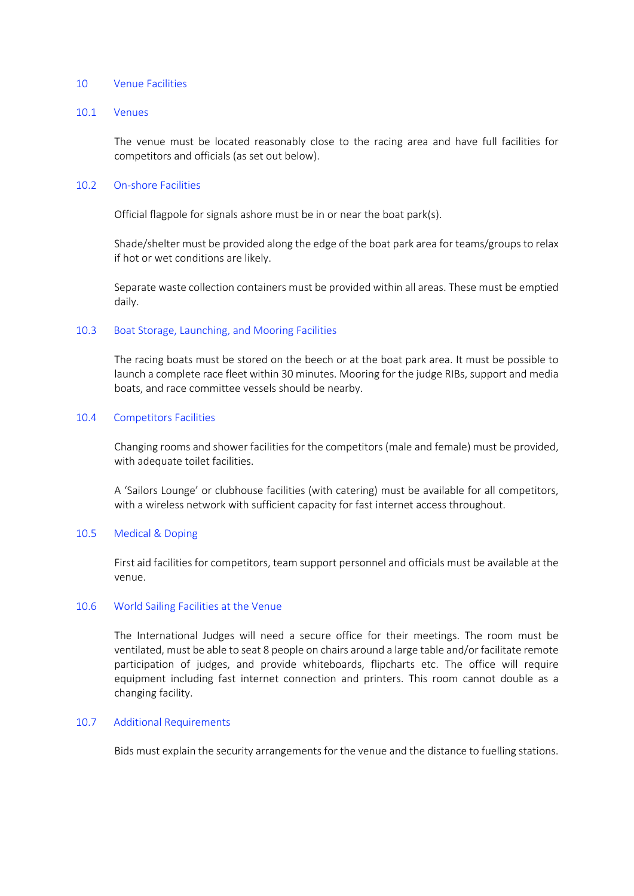#### 10 Venue Facilities

#### 10.1 Venues

The venue must be located reasonably close to the racing area and have full facilities for competitors and officials (as set out below).

#### 10.2 On-shore Facilities

Official flagpole for signals ashore must be in or near the boat park(s).

Shade/shelter must be provided along the edge of the boat park area for teams/groups to relax if hot or wet conditions are likely.

Separate waste collection containers must be provided within all areas. These must be emptied daily.

#### 10.3 Boat Storage, Launching, and Mooring Facilities

The racing boats must be stored on the beech or at the boat park area. It must be possible to launch a complete race fleet within 30 minutes. Mooring for the judge RIBs, support and media boats, and race committee vessels should be nearby.

#### 10.4 Competitors Facilities

Changing rooms and shower facilities for the competitors (male and female) must be provided, with adequate toilet facilities.

A 'Sailors Lounge' or clubhouse facilities (with catering) must be available for all competitors, with a wireless network with sufficient capacity for fast internet access throughout.

#### 10.5 Medical & Doping

First aid facilities for competitors, team support personnel and officials must be available at the venue.

#### 10.6 World Sailing Facilities at the Venue

The International Judges will need a secure office for their meetings. The room must be ventilated, must be able to seat 8 people on chairs around a large table and/or facilitate remote participation of judges, and provide whiteboards, flipcharts etc. The office will require equipment including fast internet connection and printers. This room cannot double as a changing facility.

#### 10.7 Additional Requirements

Bids must explain the security arrangements for the venue and the distance to fuelling stations.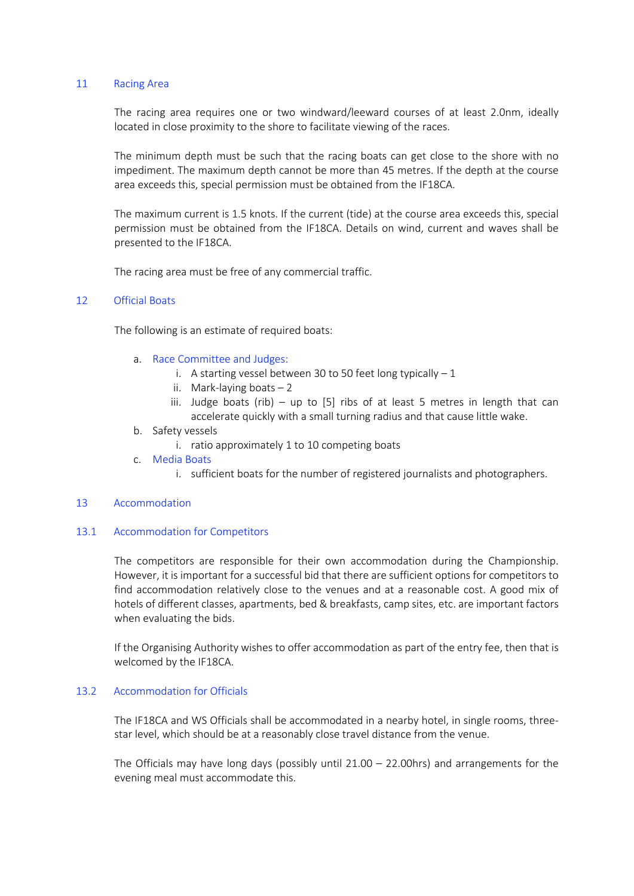#### 11 Racing Area

The racing area requires one or two windward/leeward courses of at least 2.0nm, ideally located in close proximity to the shore to facilitate viewing of the races.

The minimum depth must be such that the racing boats can get close to the shore with no impediment. The maximum depth cannot be more than 45 metres. If the depth at the course area exceeds this, special permission must be obtained from the IF18CA.

The maximum current is 1.5 knots. If the current (tide) at the course area exceeds this, special permission must be obtained from the IF18CA. Details on wind, current and waves shall be presented to the IF18CA.

The racing area must be free of any commercial traffic.

## 12 Official Boats

The following is an estimate of required boats:

- a. Race Committee and Judges:
	- i. A starting vessel between 30 to 50 feet long typically  $-1$
	- ii. Mark-laying boats  $-2$
	- iii. Judge boats (rib) up to  $[5]$  ribs of at least 5 metres in length that can accelerate quickly with a small turning radius and that cause little wake.
- b. Safety vessels
	- i. ratio approximately 1 to 10 competing boats
- c. Media Boats
	- i. sufficient boats for the number of registered journalists and photographers.

#### 13 Accommodation

#### 13.1 Accommodation for Competitors

The competitors are responsible for their own accommodation during the Championship. However, it is important for a successful bid that there are sufficient options for competitors to find accommodation relatively close to the venues and at a reasonable cost. A good mix of hotels of different classes, apartments, bed & breakfasts, camp sites, etc. are important factors when evaluating the bids.

If the Organising Authority wishes to offer accommodation as part of the entry fee, then that is welcomed by the IF18CA.

#### 13.2 Accommodation for Officials

The IF18CA and WS Officials shall be accommodated in a nearby hotel, in single rooms, threestar level, which should be at a reasonably close travel distance from the venue.

The Officials may have long days (possibly until  $21.00 - 22.00$  hrs) and arrangements for the evening meal must accommodate this.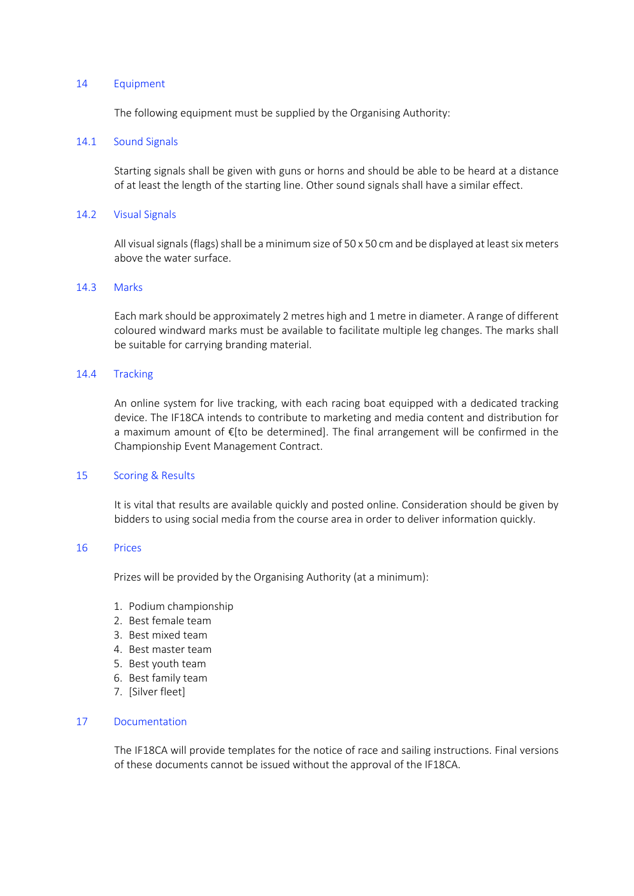#### 14 Equipment

The following equipment must be supplied by the Organising Authority:

### 14.1 Sound Signals

Starting signals shall be given with guns or horns and should be able to be heard at a distance of at least the length of the starting line. Other sound signals shall have a similar effect.

### 14.2 Visual Signals

All visual signals (flags) shall be a minimum size of 50 x 50 cm and be displayed at least six meters above the water surface.

## 14.3 Marks

Each mark should be approximately 2 metres high and 1 metre in diameter. A range of different coloured windward marks must be available to facilitate multiple leg changes. The marks shall be suitable for carrying branding material.

### 14.4 Tracking

An online system for live tracking, with each racing boat equipped with a dedicated tracking device. The IF18CA intends to contribute to marketing and media content and distribution for a maximum amount of €[to be determined]. The final arrangement will be confirmed in the Championship Event Management Contract.

#### 15 Scoring & Results

It is vital that results are available quickly and posted online. Consideration should be given by bidders to using social media from the course area in order to deliver information quickly.

#### 16 Prices

Prizes will be provided by the Organising Authority (at a minimum):

- 1. Podium championship
- 2. Best female team
- 3. Best mixed team
- 4. Best master team
- 5. Best youth team
- 6. Best family team
- 7. [Silver fleet]

## 17 Documentation

The IF18CA will provide templates for the notice of race and sailing instructions. Final versions of these documents cannot be issued without the approval of the IF18CA.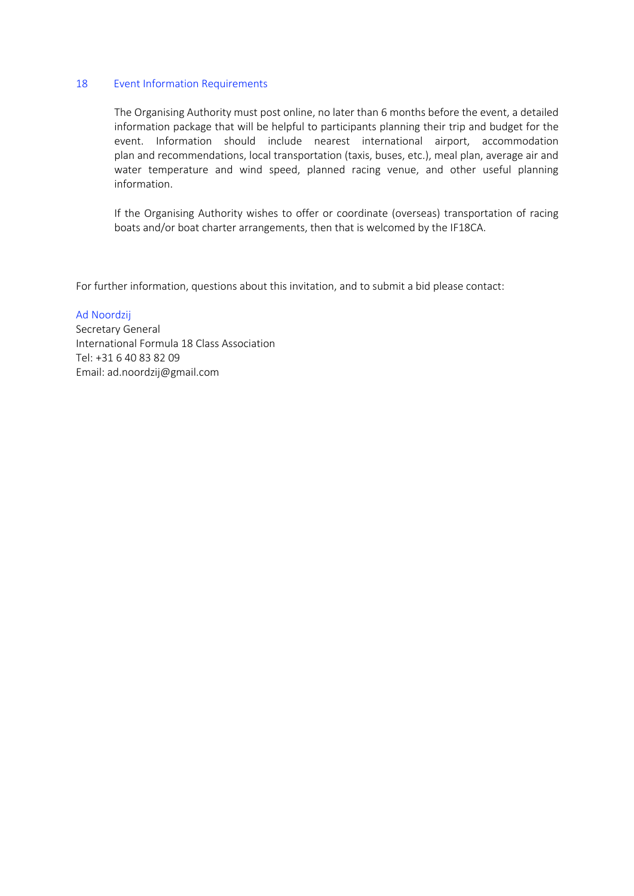#### 18 Event Information Requirements

The Organising Authority must post online, no later than 6 months before the event, a detailed information package that will be helpful to participants planning their trip and budget for the event. Information should include nearest international airport, accommodation plan and recommendations, local transportation (taxis, buses, etc.), meal plan, average air and water temperature and wind speed, planned racing venue, and other useful planning information.

If the Organising Authority wishes to offer or coordinate (overseas) transportation of racing boats and/or boat charter arrangements, then that is welcomed by the IF18CA.

For further information, questions about this invitation, and to submit a bid please contact:

#### Ad Noordzij

Secretary General International Formula 18 Class Association Tel: +31 6 40 83 82 09 Email: ad.noordzij@gmail.com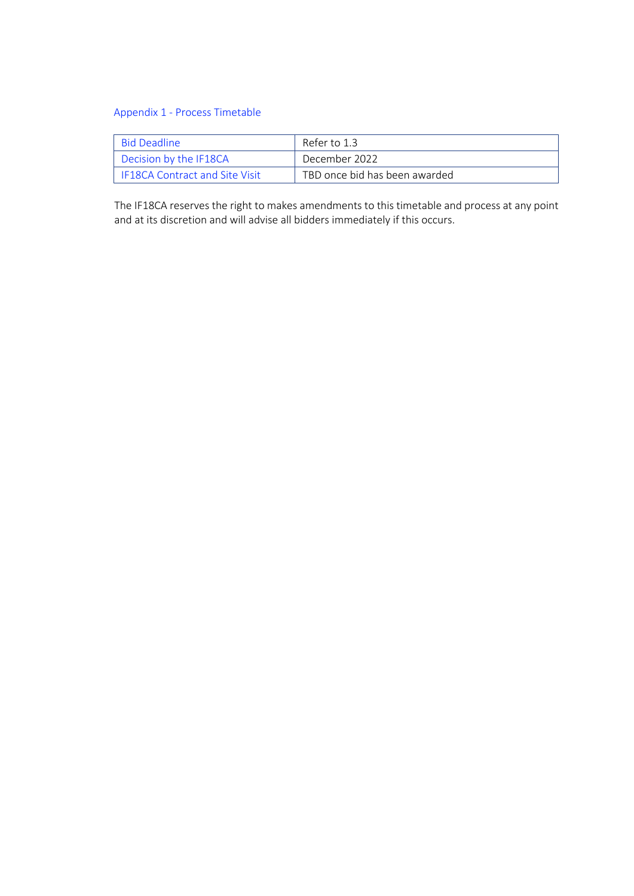## Appendix 1 - Process Timetable

| - Bid Deadline                        | Refer to 1.3                  |
|---------------------------------------|-------------------------------|
| Decision by the IF18CA                | December 2022                 |
| <b>IF18CA Contract and Site Visit</b> | TBD once bid has been awarded |

The IF18CA reserves the right to makes amendments to this timetable and process at any point and at its discretion and will advise all bidders immediately if this occurs.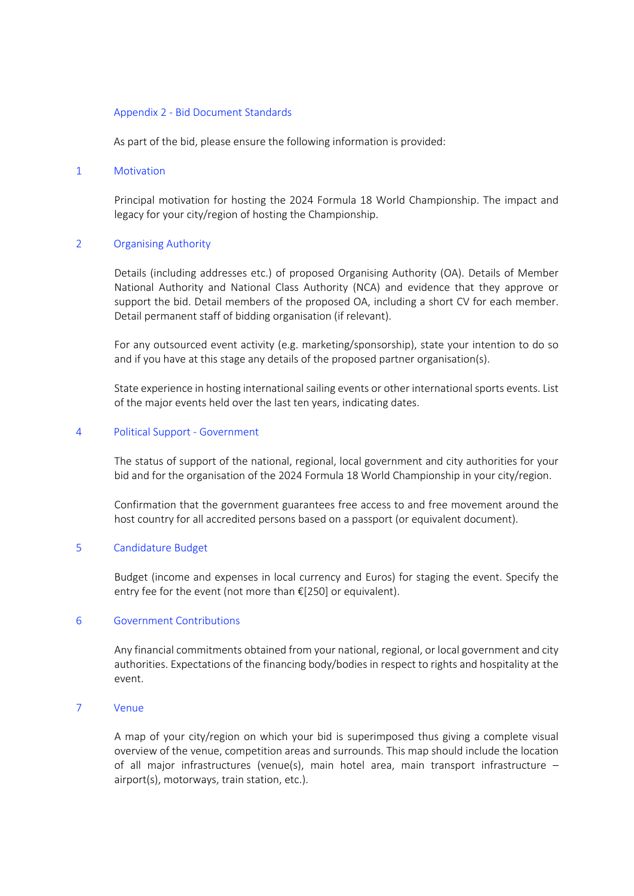#### Appendix 2 - Bid Document Standards

As part of the bid, please ensure the following information is provided:

#### 1 Motivation

Principal motivation for hosting the 2024 Formula 18 World Championship. The impact and legacy for your city/region of hosting the Championship.

### 2 Organising Authority

Details (including addresses etc.) of proposed Organising Authority (OA). Details of Member National Authority and National Class Authority (NCA) and evidence that they approve or support the bid. Detail members of the proposed OA, including a short CV for each member. Detail permanent staff of bidding organisation (if relevant).

For any outsourced event activity (e.g. marketing/sponsorship), state your intention to do so and if you have at this stage any details of the proposed partner organisation(s).

State experience in hosting international sailing events or other international sports events. List of the major events held over the last ten years, indicating dates.

#### 4 Political Support - Government

The status of support of the national, regional, local government and city authorities for your bid and for the organisation of the 2024 Formula 18 World Championship in your city/region.

Confirmation that the government guarantees free access to and free movement around the host country for all accredited persons based on a passport (or equivalent document).

## 5 Candidature Budget

Budget (income and expenses in local currency and Euros) for staging the event. Specify the entry fee for the event (not more than €[250] or equivalent).

#### 6 Government Contributions

Any financial commitments obtained from your national, regional, or local government and city authorities. Expectations of the financing body/bodies in respect to rights and hospitality at the event.

### 7 Venue

A map of your city/region on which your bid is superimposed thus giving a complete visual overview of the venue, competition areas and surrounds. This map should include the location of all major infrastructures (venue(s), main hotel area, main transport infrastructure – airport(s), motorways, train station, etc.).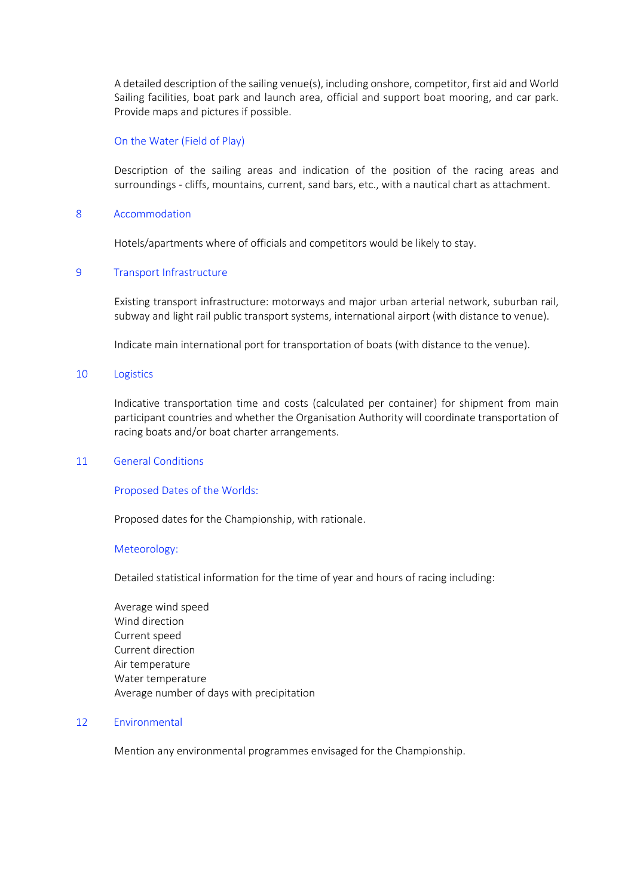A detailed description of the sailing venue(s), including onshore, competitor, first aid and World Sailing facilities, boat park and launch area, official and support boat mooring, and car park. Provide maps and pictures if possible.

### On the Water (Field of Play)

Description of the sailing areas and indication of the position of the racing areas and surroundings - cliffs, mountains, current, sand bars, etc., with a nautical chart as attachment.

### 8 Accommodation

Hotels/apartments where of officials and competitors would be likely to stay.

### 9 Transport Infrastructure

Existing transport infrastructure: motorways and major urban arterial network, suburban rail, subway and light rail public transport systems, international airport (with distance to venue).

Indicate main international port for transportation of boats (with distance to the venue).

#### 10 Logistics

Indicative transportation time and costs (calculated per container) for shipment from main participant countries and whether the Organisation Authority will coordinate transportation of racing boats and/or boat charter arrangements.

#### 11 General Conditions

#### Proposed Dates of the Worlds:

Proposed dates for the Championship, with rationale.

#### Meteorology:

Detailed statistical information for the time of year and hours of racing including:

Average wind speed Wind direction Current speed Current direction Air temperature Water temperature Average number of days with precipitation

### 12 Environmental

Mention any environmental programmes envisaged for the Championship.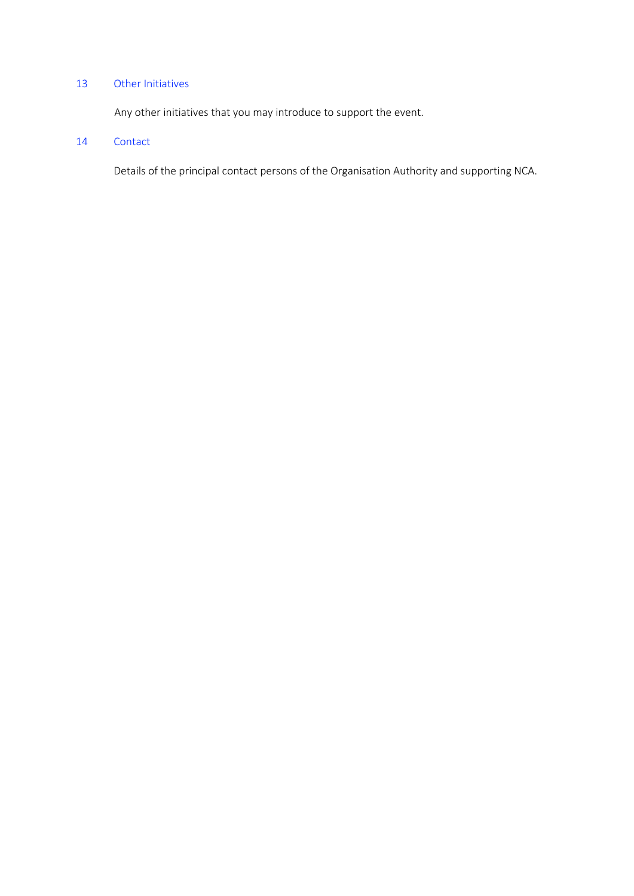## 13 Other Initiatives

Any other initiatives that you may introduce to support the event.

## 14 Contact

Details of the principal contact persons of the Organisation Authority and supporting NCA.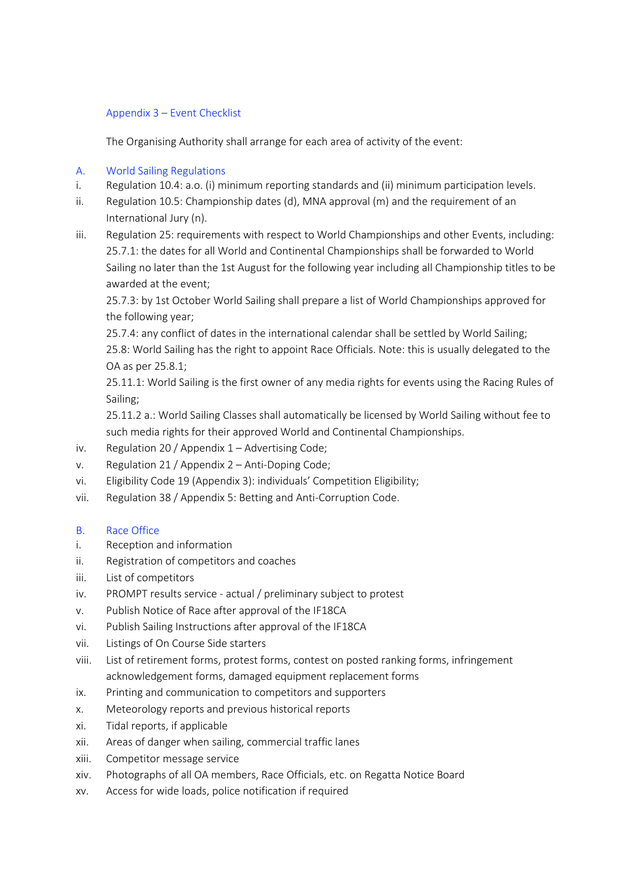## Appendix 3 – Event Checklist

The Organising Authority shall arrange for each area of activity of the event:

## A. World Sailing Regulations

- i. Regulation 10.4: a.o. (i) minimum reporting standards and (ii) minimum participation levels.
- ii. Regulation 10.5: Championship dates (d), MNA approval (m) and the requirement of an International Jury (n).
- iii. Regulation 25: requirements with respect to World Championships and other Events, including: 25.7.1: the dates for all World and Continental Championships shall be forwarded to World Sailing no later than the 1st August for the following year including all Championship titles to be awarded at the event;

25.7.3: by 1st October World Sailing shall prepare a list of World Championships approved for the following year;

25.7.4: any conflict of dates in the international calendar shall be settled by World Sailing; 25.8: World Sailing has the right to appoint Race Officials. Note: this is usually delegated to the OA as per 25.8.1;

25.11.1: World Sailing is the first owner of any media rights for events using the Racing Rules of Sailing;

25.11.2 a.: World Sailing Classes shall automatically be licensed by World Sailing without fee to such media rights for their approved World and Continental Championships.

- iv. Regulation 20 / Appendix 1 Advertising Code;
- v. Regulation 21 / Appendix 2 Anti-Doping Code;
- vi. Eligibility Code 19 (Appendix 3): individuals' Competition Eligibility;
- vii. Regulation 38 / Appendix 5: Betting and Anti-Corruption Code.

## B. Race Office

- i. Reception and information
- ii. Registration of competitors and coaches
- iii. List of competitors
- iv. PROMPT results service actual / preliminary subject to protest
- v. Publish Notice of Race after approval of the IF18CA
- vi. Publish Sailing Instructions after approval of the IF18CA
- vii. Listings of On Course Side starters
- viii. List of retirement forms, protest forms, contest on posted ranking forms, infringement acknowledgement forms, damaged equipment replacement forms
- ix. Printing and communication to competitors and supporters
- x. Meteorology reports and previous historical reports
- xi. Tidal reports, if applicable
- xii. Areas of danger when sailing, commercial traffic lanes
- xiii. Competitor message service
- xiv. Photographs of all OA members, Race Officials, etc. on Regatta Notice Board
- xv. Access for wide loads, police notification if required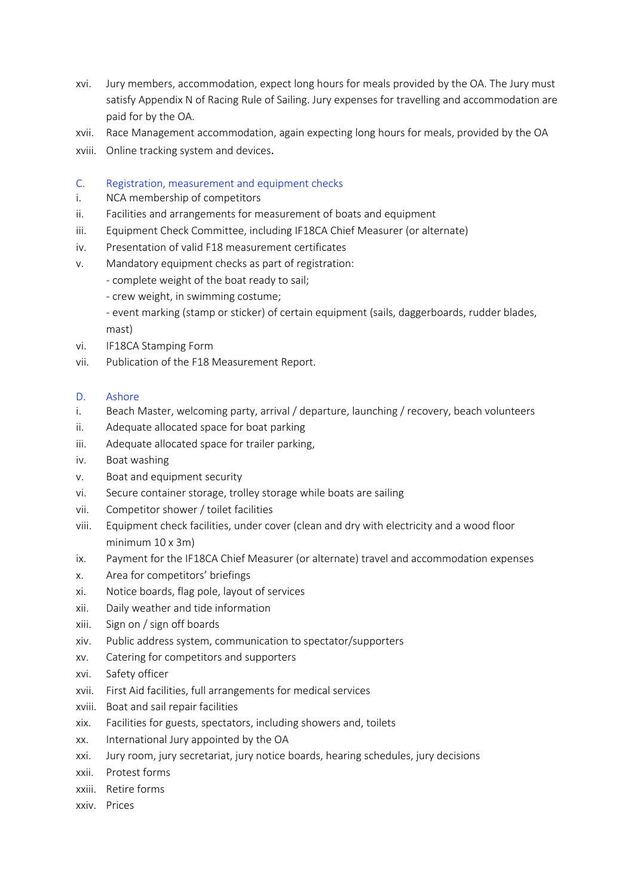- xvi. Jury members, accommodation, expect long hours for meals provided by the OA. The Jury must satisfy Appendix N of Racing Rule of Sailing. Jury expenses for travelling and accommodation are paid for by the OA.
- xvii. Race Management accommodation, again expecting long hours for meals, provided by the OA
- xviii. Online tracking system and devices.
- C. Registration, measurement and equipment checks
- i. NCA membership of competitors
- ii. Facilities and arrangements for measurement of boats and equipment
- iii. Equipment Check Committee, including IF18CA Chief Measurer (or alternate)
- iv. Presentation of valid F18 measurement certificates
- v. Mandatory equipment checks as part of registration:
	- complete weight of the boat ready to sail;
	- crew weight, in swimming costume;
	- event marking (stamp or sticker) of certain equipment (sails, daggerboards, rudder blades, mast)
- vi. IF18CA Stamping Form
- vii. Publication of the F18 Measurement Report.
- D. Ashore
- i. Beach Master, welcoming party, arrival / departure, launching / recovery, beach volunteers
- ii. Adequate allocated space for boat parking
- iii. Adequate allocated space for trailer parking,
- iv. Boat washing
- v. Boat and equipment security
- vi. Secure container storage, trolley storage while boats are sailing
- vii. Competitor shower / toilet facilities
- viii. Equipment check facilities, under cover (clean and dry with electricity and a wood floor minimum 10 x 3m)
- ix. Payment for the IF18CA Chief Measurer (or alternate) travel and accommodation expenses
- x. Area for competitors' briefings
- xi. Notice boards, flag pole, layout of services
- xii. Daily weather and tide information
- xiii. Sign on / sign off boards
- xiv. Public address system, communication to spectator/supporters
- xv. Catering for competitors and supporters
- xvi. Safety officer
- xvii. First Aid facilities, full arrangements for medical services
- xviii. Boat and sail repair facilities
- xix. Facilities for guests, spectators, including showers and, toilets
- xx. International Jury appointed by the OA
- xxi. Jury room, jury secretariat, jury notice boards, hearing schedules, jury decisions
- xxii. Protest forms
- xxiii. Retire forms
- xxiv. Prices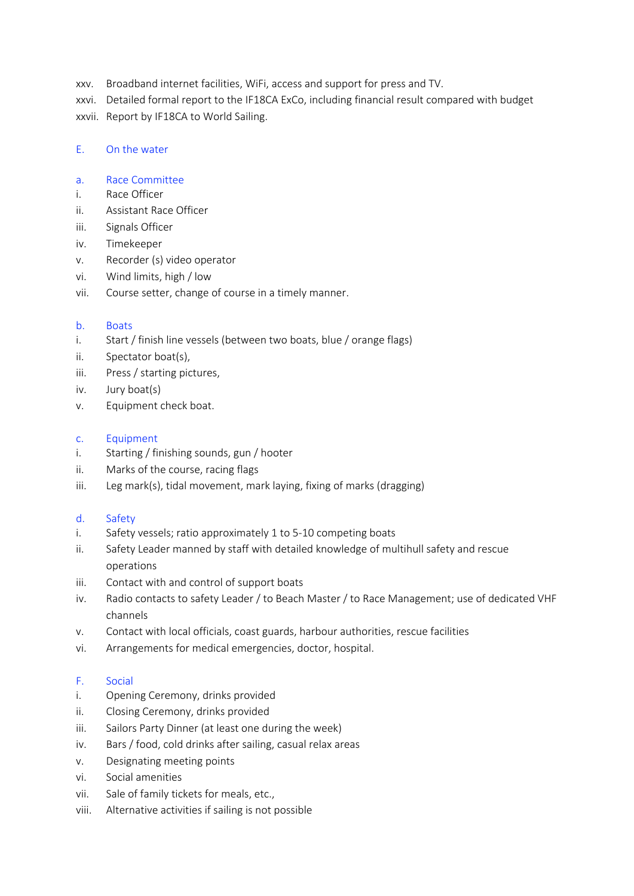xxv. Broadband internet facilities, WiFi, access and support for press and TV.

xxvi. Detailed formal report to the IF18CA ExCo, including financial result compared with budget

xxvii. Report by IF18CA to World Sailing.

## E. On the water

## a. Race Committee

- i. Race Officer
- ii. Assistant Race Officer
- iii. Signals Officer
- iv. Timekeeper
- v. Recorder (s) video operator
- vi. Wind limits, high / low
- vii. Course setter, change of course in a timely manner.

## b. Boats

- i. Start / finish line vessels (between two boats, blue / orange flags)
- ii. Spectator boat(s),
- iii. Press / starting pictures,
- iv. Jury boat(s)
- v. Equipment check boat.

## c. Equipment

- i. Starting / finishing sounds, gun / hooter
- ii. Marks of the course, racing flags
- iii. Leg mark(s), tidal movement, mark laying, fixing of marks (dragging)

# d. Safety

- i. Safety vessels; ratio approximately 1 to 5-10 competing boats
- ii. Safety Leader manned by staff with detailed knowledge of multihull safety and rescue operations
- iii. Contact with and control of support boats
- iv. Radio contacts to safety Leader / to Beach Master / to Race Management; use of dedicated VHF channels
- v. Contact with local officials, coast guards, harbour authorities, rescue facilities
- vi. Arrangements for medical emergencies, doctor, hospital.

## F. Social

- i. Opening Ceremony, drinks provided
- ii. Closing Ceremony, drinks provided
- iii. Sailors Party Dinner (at least one during the week)
- iv. Bars / food, cold drinks after sailing, casual relax areas
- v. Designating meeting points
- vi. Social amenities
- vii. Sale of family tickets for meals, etc.,
- viii. Alternative activities if sailing is not possible